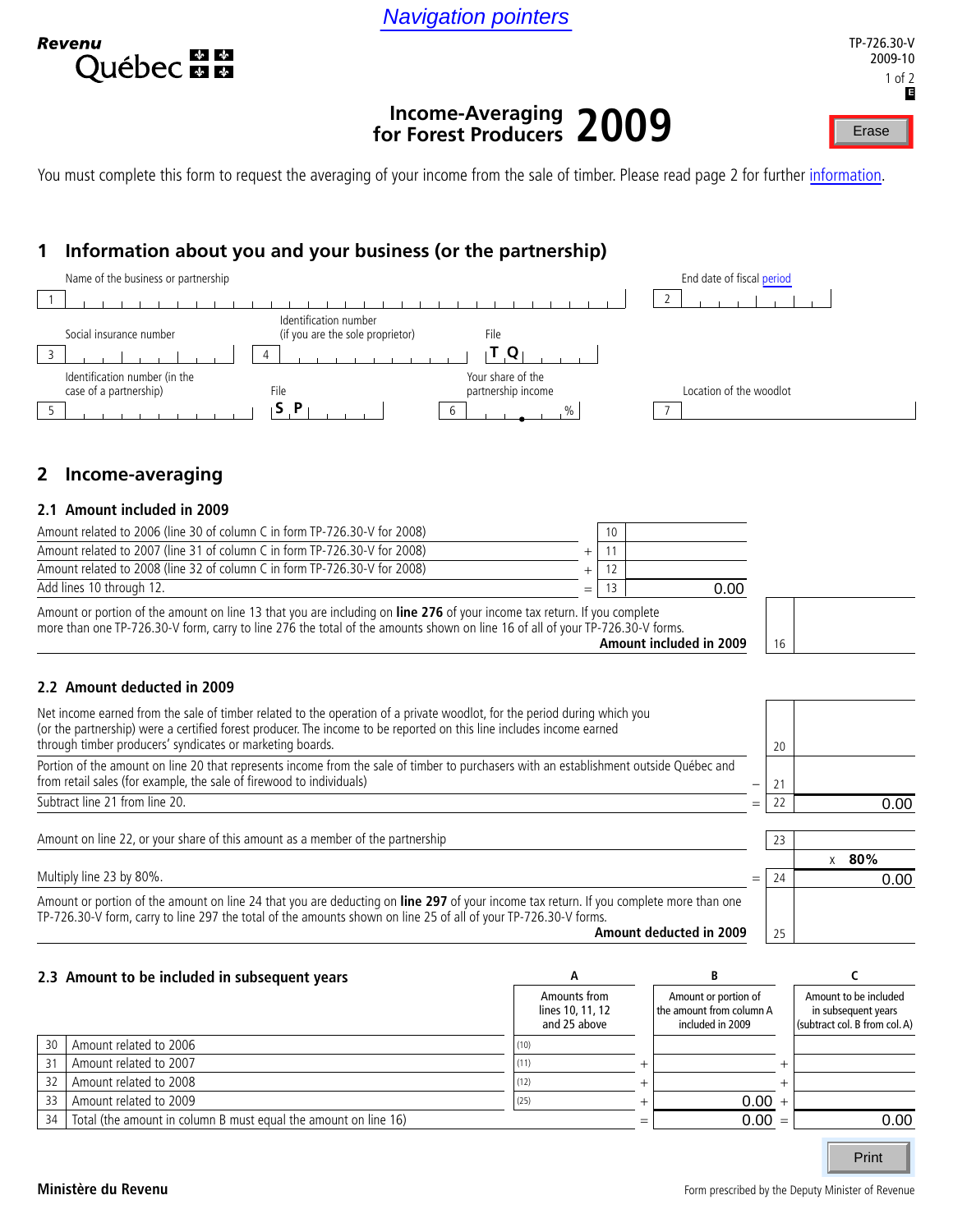Navigation pointers



# **Income-Averaging for Forest Producers 2009** Navigation pointers<br>
Income-Averaging<br>
for Forest Producers 2009

You must complete this form to request the averaging of your income from the sale of timber. Please read page 2 for further information.

# **1 Information about you and your business (or the partnership)**



# **2 Income-averaging**

### **2.1 Amount included in 2009**

| Amount or portion of the amount on line 13 that you are including on line 276 of your income tax return. If you complete<br>more than one TP-726.30-V form, carry to line 276 the total of the amounts shown on line 16 of all of your TP-726.30-V forms. | 16        |      |  |  |
|-----------------------------------------------------------------------------------------------------------------------------------------------------------------------------------------------------------------------------------------------------------|-----------|------|--|--|
| Add lines 10 through 12.                                                                                                                                                                                                                                  | 13<br>$=$ | 0.00 |  |  |
| Amount related to 2008 (line 32 of column C in form TP-726.30-V for 2008)                                                                                                                                                                                 |           |      |  |  |
| Amount related to 2007 (line 31 of column C in form TP-726.30-V for 2008)                                                                                                                                                                                 |           |      |  |  |
| Amount related to 2006 (line 30 of column C in form TP-726.30-V for 2008)                                                                                                                                                                                 | 10        |      |  |  |

| Net income earned from the sale of timber related to the operation of a private woodlot, for the period during which you<br>(or the partnership) were a certified forest producer. The income to be reported on this line includes income earned<br>through timber producers' syndicates or marketing boards. | 20        |            |
|---------------------------------------------------------------------------------------------------------------------------------------------------------------------------------------------------------------------------------------------------------------------------------------------------------------|-----------|------------|
| Portion of the amount on line 20 that represents income from the sale of timber to purchasers with an establishment outside Québec and<br>from retail sales (for example, the sale of firewood to individuals)                                                                                                | —         |            |
| Subtract line 21 from line 20.                                                                                                                                                                                                                                                                                | =         | 0.00       |
| Amount on line 22, or your share of this amount as a member of the partnership                                                                                                                                                                                                                                | 23        |            |
|                                                                                                                                                                                                                                                                                                               |           | $x = 80\%$ |
| Multiply line 23 by 80%.                                                                                                                                                                                                                                                                                      | 24<br>$=$ | 0.00       |
| Amount or portion of the amount on line 24 that you are deducting on line 297 of your income tax return. If you complete more than one<br>TP-726.30-V form, carry to line 297 the total of the amounts shown on line 25 of all of your TP-726.30-V forms.<br>Amount deducted in 2009                          | 25        |            |

|    | 2.3 Amount to be included in subsequent years                   |                                                  |                                                                      |                                                                               |
|----|-----------------------------------------------------------------|--------------------------------------------------|----------------------------------------------------------------------|-------------------------------------------------------------------------------|
|    |                                                                 | Amounts from<br>lines 10, 11, 12<br>and 25 above | Amount or portion of<br>the amount from column A<br>included in 2009 | Amount to be included<br>in subsequent years<br>(subtract col. B from col. A) |
| 30 | Amount related to 2006                                          | (10)                                             |                                                                      |                                                                               |
| 31 | Amount related to 2007                                          |                                                  |                                                                      |                                                                               |
| 32 | Amount related to 2008                                          | (12)                                             |                                                                      |                                                                               |
| 33 | Amount related to 2009                                          | (25)                                             | $0.00 +$                                                             |                                                                               |
| 34 | Total (the amount in column B must equal the amount on line 16) |                                                  | $0.00 =$                                                             | 0.00                                                                          |
|    |                                                                 |                                                  |                                                                      |                                                                               |

Print